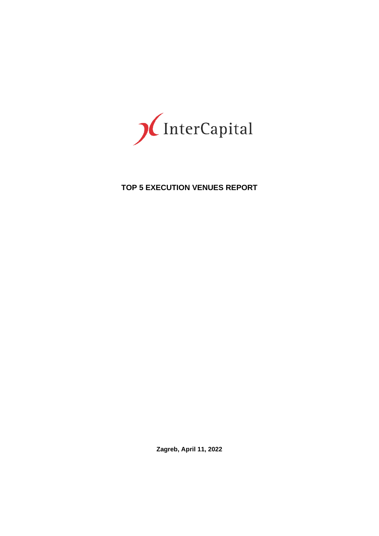

# **TOP 5 EXECUTION VENUES REPORT**

**Zagreb, April 11, 2022**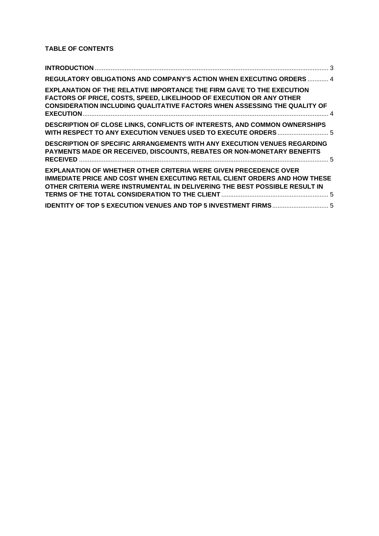# **TABLE OF CONTENTS**

| REGULATORY OBLIGATIONS AND COMPANY'S ACTION WHEN EXECUTING ORDERS  4                                                                                                                                                                            |  |
|-------------------------------------------------------------------------------------------------------------------------------------------------------------------------------------------------------------------------------------------------|--|
| <b>EXPLANATION OF THE RELATIVE IMPORTANCE THE FIRM GAVE TO THE EXECUTION</b><br><b>FACTORS OF PRICE, COSTS, SPEED, LIKELIHOOD OF EXECUTION OR ANY OTHER</b><br><b>CONSIDERATION INCLUDING QUALITATIVE FACTORS WHEN ASSESSING THE QUALITY OF</b> |  |
| <b>DESCRIPTION OF CLOSE LINKS, CONFLICTS OF INTERESTS, AND COMMON OWNERSHIPS</b><br>WITH RESPECT TO ANY EXECUTION VENUES USED TO EXECUTE ORDERS  5                                                                                              |  |
| <b>DESCRIPTION OF SPECIFIC ARRANGEMENTS WITH ANY EXECUTION VENUES REGARDING</b><br>PAYMENTS MADE OR RECEIVED, DISCOUNTS, REBATES OR NON-MONETARY BENEFITS                                                                                       |  |
| <b>EXPLANATION OF WHETHER OTHER CRITERIA WERE GIVEN PRECEDENCE OVER</b><br><b>IMMEDIATE PRICE AND COST WHEN EXECUTING RETAIL CLIENT ORDERS AND HOW THESE</b><br>OTHER CRITERIA WERE INSTRUMENTAL IN DELIVERING THE BEST POSSIBLE RESULT IN      |  |
|                                                                                                                                                                                                                                                 |  |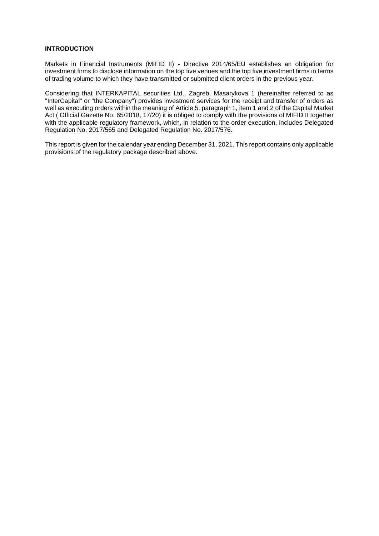#### <span id="page-2-0"></span>**INTRODUCTION**

Markets in Financial Instruments (MiFID II) - Directive 2014/65/EU establishes an obligation for investment firms to disclose information on the top five venues and the top five investment firms in terms of trading volume to which they have transmitted or submitted client orders in the previous year.

Considering that INTERKAPITAL securities Ltd., Zagreb, Masarykova 1 (hereinafter referred to as "InterCapital" or "the Company") provides investment services for the receipt and transfer of orders as well as executing orders within the meaning of Article 5, paragraph 1, item 1 and 2 of the Capital Market Act ( Official Gazette No. 65/2018, 17/20) it is obliged to comply with the provisions of MIFID II together with the applicable regulatory framework, which, in relation to the order execution, includes Delegated Regulation No. 2017/565 and Delegated Regulation No. 2017/576.

This report is given for the calendar year ending December 31, 2021. This report contains only applicable provisions of the regulatory package described above.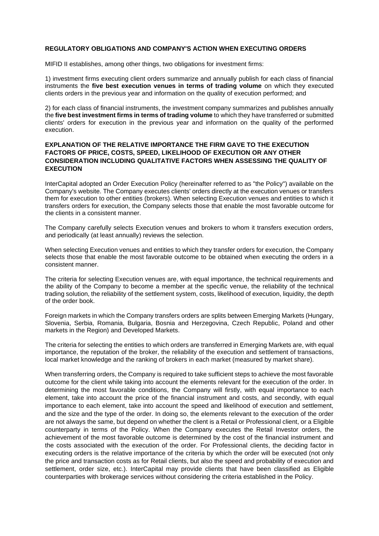#### <span id="page-3-0"></span>**REGULATORY OBLIGATIONS AND COMPANY'S ACTION WHEN EXECUTING ORDERS**

MIFID II establishes, among other things, two obligations for investment firms:

1) investment firms executing client orders summarize and annually publish for each class of financial instruments the **five best execution venues in terms of trading volume** on which they executed clients orders in the previous year and information on the quality of execution performed; and

2) for each class of financial instruments, the investment company summarizes and publishes annually the **five best investment firms in terms of trading volume** to which they have transferred or submitted clients' orders for execution in the previous year and information on the quality of the performed execution.

# <span id="page-3-1"></span>**EXPLANATION OF THE RELATIVE IMPORTANCE THE FIRM GAVE TO THE EXECUTION FACTORS OF PRICE, COSTS, SPEED, LIKELIHOOD OF EXECUTION OR ANY OTHER CONSIDERATION INCLUDING QUALITATIVE FACTORS WHEN ASSESSING THE QUALITY OF EXECUTION**

InterCapital adopted an Order Execution Policy (hereinafter referred to as "the Policy") available on the Company's website. The Company executes clients' orders directly at the execution venues or transfers them for execution to other entities (brokers). When selecting Execution venues and entities to which it transfers orders for execution, the Company selects those that enable the most favorable outcome for the clients in a consistent manner.

The Company carefully selects Execution venues and brokers to whom it transfers execution orders, and periodically (at least annually) reviews the selection.

When selecting Execution venues and entities to which they transfer orders for execution, the Company selects those that enable the most favorable outcome to be obtained when executing the orders in a consistent manner.

The criteria for selecting Execution venues are, with equal importance, the technical requirements and the ability of the Company to become a member at the specific venue, the reliability of the technical trading solution, the reliability of the settlement system, costs, likelihood of execution, liquidity, the depth of the order book.

Foreign markets in which the Company transfers orders are splits between Emerging Markets (Hungary, Slovenia, Serbia, Romania, Bulgaria, Bosnia and Herzegovina, Czech Republic, Poland and other markets in the Region) and Developed Markets.

The criteria for selecting the entities to which orders are transferred in Emerging Markets are, with equal importance, the reputation of the broker, the reliability of the execution and settlement of transactions, local market knowledge and the ranking of brokers in each market (measured by market share).

When transferring orders, the Company is required to take sufficient steps to achieve the most favorable outcome for the client while taking into account the elements relevant for the execution of the order. In determining the most favorable conditions, the Company will firstly, with equal importance to each element, take into account the price of the financial instrument and costs, and secondly, with equal importance to each element, take into account the speed and likelihood of execution and settlement, and the size and the type of the order. In doing so, the elements relevant to the execution of the order are not always the same, but depend on whether the client is a Retail or Professional client, or a Eligible counterparty in terms of the Policy. When the Company executes the Retail Investor orders, the achievement of the most favorable outcome is determined by the cost of the financial instrument and the costs associated with the execution of the order. For Professional clients, the deciding factor in executing orders is the relative importance of the criteria by which the order will be executed (not only the price and transaction costs as for Retail clients, but also the speed and probability of execution and settlement, order size, etc.). InterCapital may provide clients that have been classified as Eligible counterparties with brokerage services without considering the criteria established in the Policy.